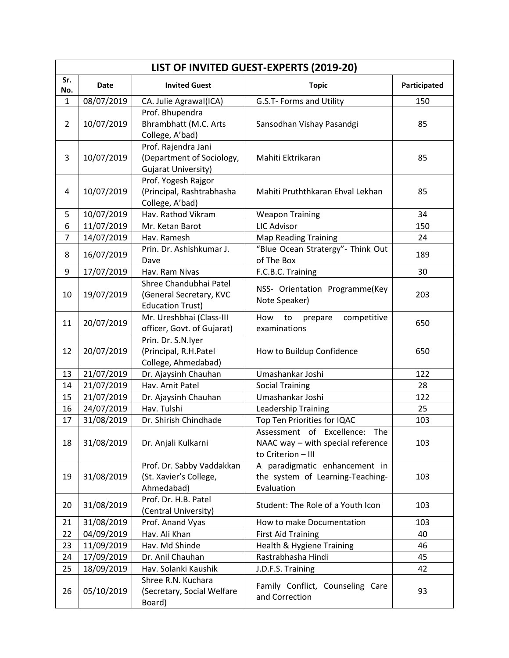|                | LIST OF INVITED GUEST-EXPERTS (2019-20) |                                                                                |                                                                                          |              |  |  |
|----------------|-----------------------------------------|--------------------------------------------------------------------------------|------------------------------------------------------------------------------------------|--------------|--|--|
| Sr.<br>No.     | Date                                    | <b>Invited Guest</b>                                                           | <b>Topic</b>                                                                             | Participated |  |  |
| $\mathbf{1}$   | 08/07/2019                              | CA. Julie Agrawal(ICA)                                                         | G.S.T- Forms and Utility                                                                 | 150          |  |  |
| $\overline{2}$ | 10/07/2019                              | Prof. Bhupendra<br>Bhrambhatt (M.C. Arts<br>College, A'bad)                    | Sansodhan Vishay Pasandgi                                                                | 85           |  |  |
| 3              | 10/07/2019                              | Prof. Rajendra Jani<br>(Department of Sociology,<br><b>Gujarat University)</b> | Mahiti Ektrikaran                                                                        | 85           |  |  |
| 4              | 10/07/2019                              | Prof. Yogesh Rajgor<br>(Principal, Rashtrabhasha<br>College, A'bad)            | Mahiti Pruththkaran Ehval Lekhan                                                         | 85           |  |  |
| 5              | 10/07/2019                              | Hav. Rathod Vikram                                                             | <b>Weapon Training</b>                                                                   | 34           |  |  |
| 6              | 11/07/2019                              | Mr. Ketan Barot                                                                | <b>LIC Advisor</b>                                                                       | 150          |  |  |
| $\overline{7}$ | 14/07/2019                              | Hav. Ramesh                                                                    | <b>Map Reading Training</b>                                                              | 24           |  |  |
| 8              | 16/07/2019                              | Prin. Dr. Ashishkumar J.<br>Dave                                               | "Blue Ocean Stratergy"- Think Out<br>of The Box                                          | 189          |  |  |
| 9              | 17/07/2019                              | Hav. Ram Nivas                                                                 | F.C.B.C. Training                                                                        | 30           |  |  |
| 10             | 19/07/2019                              | Shree Chandubhai Patel<br>(General Secretary, KVC<br><b>Education Trust)</b>   | NSS- Orientation Programme(Key<br>Note Speaker)                                          | 203          |  |  |
| 11             | 20/07/2019                              | Mr. Ureshbhai (Class-III<br>officer, Govt. of Gujarat)                         | How<br>to<br>competitive<br>prepare<br>examinations                                      | 650          |  |  |
| 12             | 20/07/2019                              | Prin. Dr. S.N.Iyer<br>(Principal, R.H.Patel<br>College, Ahmedabad)             | How to Buildup Confidence                                                                | 650          |  |  |
| 13             | 21/07/2019                              | Dr. Ajaysinh Chauhan                                                           | Umashankar Joshi                                                                         | 122          |  |  |
| 14             | 21/07/2019                              | Hav. Amit Patel                                                                | <b>Social Training</b>                                                                   | 28           |  |  |
| 15             | 21/07/2019                              | Dr. Ajaysinh Chauhan                                                           | Umashankar Joshi                                                                         | 122          |  |  |
| 16             | 24/07/2019                              | Hav. Tulshi                                                                    | Leadership Training                                                                      | 25           |  |  |
| 17             | 31/08/2019                              | Dr. Shirish Chindhade                                                          | Top Ten Priorities for IQAC                                                              | 103          |  |  |
| 18             | 31/08/2019                              | Dr. Anjali Kulkarni                                                            | Assessment of Excellence: The<br>NAAC way - with special reference<br>to Criterion - III | 103          |  |  |
| 19             | 31/08/2019                              | Prof. Dr. Sabby Vaddakkan<br>(St. Xavier's College,<br>Ahmedabad)              | A paradigmatic enhancement in<br>the system of Learning-Teaching-<br>Evaluation          | 103          |  |  |
| 20             | 31/08/2019                              | Prof. Dr. H.B. Patel<br>(Central University)                                   | Student: The Role of a Youth Icon                                                        | 103          |  |  |
| 21             | 31/08/2019                              | Prof. Anand Vyas                                                               | How to make Documentation                                                                | 103          |  |  |
| 22             | 04/09/2019                              | Hav. Ali Khan                                                                  | <b>First Aid Training</b>                                                                | 40           |  |  |
| 23             | 11/09/2019                              | Hav. Md Shinde                                                                 | Health & Hygiene Training                                                                | 46           |  |  |
| 24             | 17/09/2019                              | Dr. Anil Chauhan                                                               | Rastrabhasha Hindi                                                                       | 45           |  |  |
| 25             | 18/09/2019                              | Hav. Solanki Kaushik                                                           | J.D.F.S. Training                                                                        | 42           |  |  |
| 26             | 05/10/2019                              | Shree R.N. Kuchara<br>(Secretary, Social Welfare<br>Board)                     | Family Conflict, Counseling Care<br>and Correction                                       | 93           |  |  |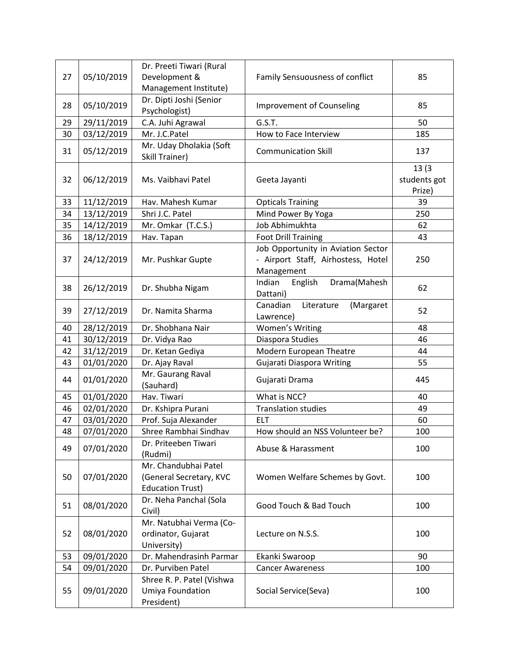| 27 | 05/10/2019 | Dr. Preeti Tiwari (Rural<br>Development &     | Family Sensuousness of conflict     | 85           |
|----|------------|-----------------------------------------------|-------------------------------------|--------------|
|    |            | Management Institute)                         |                                     |              |
| 28 | 05/10/2019 | Dr. Dipti Joshi (Senior                       | Improvement of Counseling           | 85           |
|    |            | Psychologist)                                 |                                     |              |
| 29 | 29/11/2019 | C.A. Juhi Agrawal                             | G.S.T.                              | 50           |
| 30 | 03/12/2019 | Mr. J.C.Patel                                 | How to Face Interview               | 185          |
| 31 | 05/12/2019 | Mr. Uday Dholakia (Soft<br>Skill Trainer)     | <b>Communication Skill</b>          | 137          |
|    |            |                                               |                                     | 13(3)        |
| 32 | 06/12/2019 | Ms. Vaibhavi Patel                            | Geeta Jayanti                       | students got |
|    |            |                                               |                                     | Prize)       |
| 33 | 11/12/2019 | Hav. Mahesh Kumar                             | <b>Opticals Training</b>            | 39           |
| 34 | 13/12/2019 | Shri J.C. Patel                               | Mind Power By Yoga                  | 250          |
| 35 | 14/12/2019 | Mr. Omkar (T.C.S.)                            | Job Abhimukhta                      | 62           |
| 36 | 18/12/2019 | Hav. Tapan                                    | <b>Foot Drill Training</b>          | 43           |
|    |            |                                               | Job Opportunity in Aviation Sector  |              |
| 37 | 24/12/2019 | Mr. Pushkar Gupte                             | - Airport Staff, Airhostess, Hotel  | 250          |
|    |            |                                               | Management                          |              |
| 38 | 26/12/2019 | Dr. Shubha Nigam                              | Indian<br>English<br>Drama(Mahesh   | 62           |
|    |            |                                               | Dattani)                            |              |
| 39 | 27/12/2019 | Dr. Namita Sharma                             | Literature<br>Canadian<br>(Margaret | 52           |
|    |            |                                               | Lawrence)                           |              |
| 40 | 28/12/2019 | Dr. Shobhana Nair                             | <b>Women's Writing</b>              | 48           |
| 41 | 30/12/2019 | Dr. Vidya Rao                                 | Diaspora Studies                    | 46           |
| 42 | 31/12/2019 | Dr. Ketan Gediya                              | Modern European Theatre             | 44           |
| 43 | 01/01/2020 | Dr. Ajay Raval                                | <b>Gujarati Diaspora Writing</b>    | 55           |
| 44 | 01/01/2020 | Mr. Gaurang Raval<br>(Sauhard)                | Gujarati Drama                      | 445          |
| 45 | 01/01/2020 | Hav. Tiwari                                   | What is NCC?                        | 40           |
| 46 | 02/01/2020 | Dr. Kshipra Purani                            | <b>Translation studies</b>          | 49           |
| 47 | 03/01/2020 | Prof. Suja Alexander                          | <b>ELT</b>                          | 60           |
| 48 | 07/01/2020 | Shree Rambhai Sindhav                         | How should an NSS Volunteer be?     | 100          |
| 49 | 07/01/2020 | Dr. Priteeben Tiwari<br>(Rudmi)               | Abuse & Harassment                  | 100          |
|    |            | Mr. Chandubhai Patel                          |                                     |              |
| 50 | 07/01/2020 | (General Secretary, KVC                       | Women Welfare Schemes by Govt.      | 100          |
|    |            | <b>Education Trust)</b>                       |                                     |              |
| 51 | 08/01/2020 | Dr. Neha Panchal (Sola<br>Civil)              | Good Touch & Bad Touch              | 100          |
|    |            | Mr. Natubhai Verma (Co-                       |                                     |              |
| 52 | 08/01/2020 | ordinator, Gujarat                            | Lecture on N.S.S.                   | 100          |
|    |            | University)                                   |                                     |              |
| 53 | 09/01/2020 | Dr. Mahendrasinh Parmar                       | Ekanki Swaroop                      | 90           |
| 54 | 09/01/2020 | Dr. Purviben Patel                            | <b>Cancer Awareness</b>             | 100          |
| 55 | 09/01/2020 | Shree R. P. Patel (Vishwa<br>Umiya Foundation | Social Service(Seva)                | 100          |
|    |            | President)                                    |                                     |              |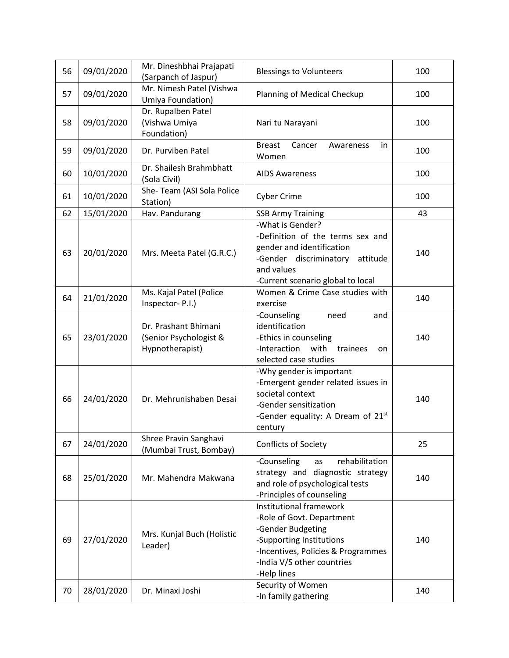| 56       | 09/01/2020               | Mr. Dineshbhai Prajapati<br>(Sarpanch of Jaspur)                  | <b>Blessings to Volunteers</b>                                                                                                                                                                                | 100        |
|----------|--------------------------|-------------------------------------------------------------------|---------------------------------------------------------------------------------------------------------------------------------------------------------------------------------------------------------------|------------|
| 57       | 09/01/2020               | Mr. Nimesh Patel (Vishwa<br>Umiya Foundation)                     | Planning of Medical Checkup                                                                                                                                                                                   | 100        |
| 58       | 09/01/2020               | Dr. Rupalben Patel<br>(Vishwa Umiya<br>Foundation)                | Nari tu Narayani                                                                                                                                                                                              | 100        |
| 59       | 09/01/2020               | Dr. Purviben Patel                                                | <b>Breast</b><br>Cancer<br>Awareness<br>in.<br>Women                                                                                                                                                          | 100        |
| 60       | 10/01/2020               | Dr. Shailesh Brahmbhatt<br>(Sola Civil)                           | <b>AIDS Awareness</b>                                                                                                                                                                                         | 100        |
| 61       | 10/01/2020               | She-Team (ASI Sola Police<br>Station)                             | <b>Cyber Crime</b>                                                                                                                                                                                            | 100        |
| 62       | 15/01/2020               | Hav. Pandurang                                                    | <b>SSB Army Training</b>                                                                                                                                                                                      | 43         |
| 63       | 20/01/2020               | Mrs. Meeta Patel (G.R.C.)                                         | -What is Gender?<br>-Definition of the terms sex and<br>gender and identification<br>-Gender discriminatory<br>attitude<br>and values<br>-Current scenario global to local                                    | 140        |
| 64       | 21/01/2020               | Ms. Kajal Patel (Police<br>Inspector-P.I.)                        | Women & Crime Case studies with<br>exercise                                                                                                                                                                   | 140        |
| 65       | 23/01/2020               | Dr. Prashant Bhimani<br>(Senior Psychologist &<br>Hypnotherapist) | -Counseling<br>need<br>and<br>identification<br>-Ethics in counseling<br>with<br>-Interaction<br>trainees<br>on<br>selected case studies                                                                      | 140        |
| 66       | 24/01/2020               | Dr. Mehrunishaben Desai                                           | -Why gender is important<br>-Emergent gender related issues in<br>societal context<br>-Gender sensitization<br>-Gender equality: A Dream of 21 <sup>st</sup><br>century                                       | 140        |
| 67       | 24/01/2020               | Shree Pravin Sanghavi<br>(Mumbai Trust, Bombay)                   | Conflicts of Society                                                                                                                                                                                          | 25         |
| 68       | 25/01/2020               | Mr. Mahendra Makwana                                              | -Counseling<br>rehabilitation<br>as<br>strategy and diagnostic strategy<br>and role of psychological tests<br>-Principles of counseling                                                                       | 140        |
| 69<br>70 | 27/01/2020<br>28/01/2020 | Mrs. Kunjal Buch (Holistic<br>Leader)<br>Dr. Minaxi Joshi         | Institutional framework<br>-Role of Govt. Department<br>-Gender Budgeting<br>-Supporting Institutions<br>-Incentives, Policies & Programmes<br>-India V/S other countries<br>-Help lines<br>Security of Women | 140<br>140 |
|          |                          |                                                                   | -In family gathering                                                                                                                                                                                          |            |